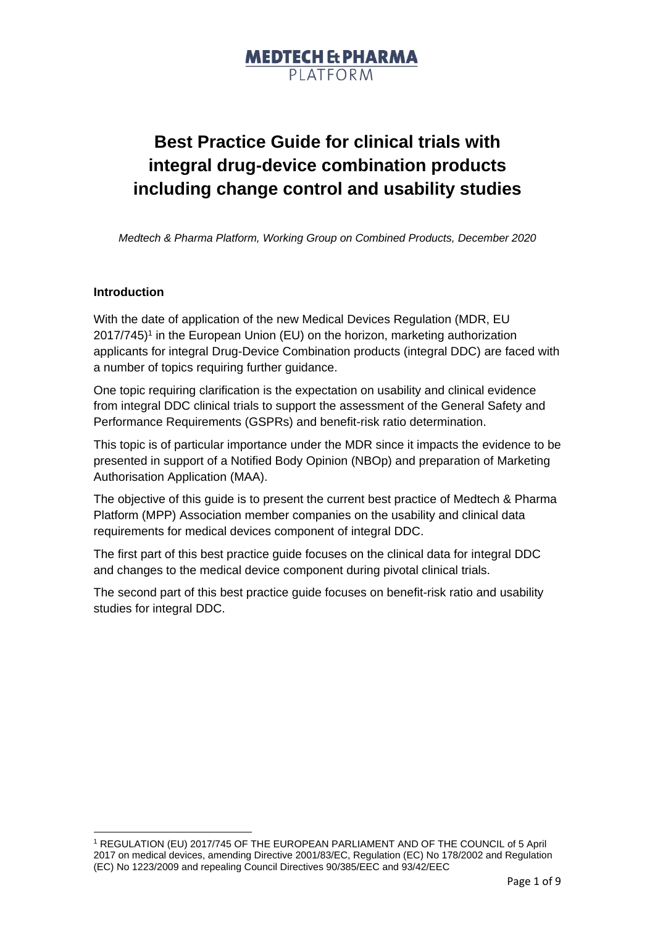# **Best Practice Guide for clinical trials with integral drug-device combination products including change control and usability studies**

*Medtech & Pharma Platform, Working Group on Combined Products, December 2020*

### **Introduction**

With the date of application of the new Medical Devices Regulation (MDR, EU 2017/745) 1 in the European Union (EU) on the horizon, marketing authorization applicants for integral Drug-Device Combination products (integral DDC) are faced with a number of topics requiring further guidance.

One topic requiring clarification is the expectation on usability and clinical evidence from integral DDC clinical trials to support the assessment of the General Safety and Performance Requirements (GSPRs) and benefit-risk ratio determination.

This topic is of particular importance under the MDR since it impacts the evidence to be presented in support of a Notified Body Opinion (NBOp) and preparation of Marketing Authorisation Application (MAA).

The objective of this guide is to present the current best practice of Medtech & Pharma Platform (MPP) Association member companies on the usability and clinical data requirements for medical devices component of integral DDC.

The first part of this best practice guide focuses on the clinical data for integral DDC and changes to the medical device component during pivotal clinical trials.

The second part of this best practice guide focuses on benefit-risk ratio and usability studies for integral DDC.

<sup>1</sup> REGULATION (EU) 2017/745 OF THE EUROPEAN PARLIAMENT AND OF THE COUNCIL of 5 April 2017 on medical devices, amending Directive 2001/83/EC, Regulation (EC) No 178/2002 and Regulation (EC) No 1223/2009 and repealing Council Directives 90/385/EEC and 93/42/EEC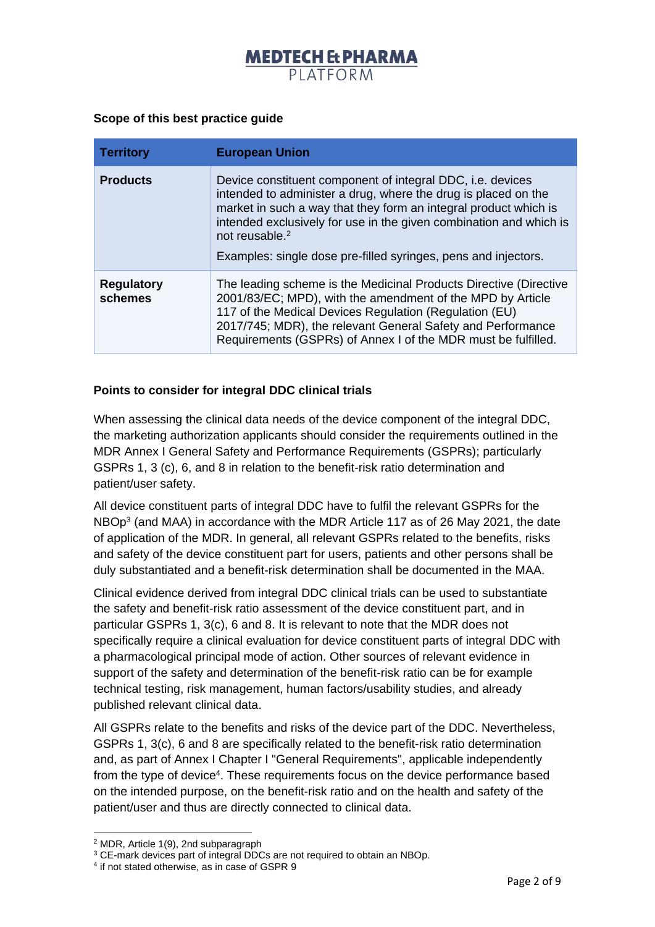#### **Scope of this best practice guide**

| <b>Territory</b>             | <b>European Union</b>                                                                                                                                                                                                                                                                                                                                                  |
|------------------------------|------------------------------------------------------------------------------------------------------------------------------------------------------------------------------------------------------------------------------------------------------------------------------------------------------------------------------------------------------------------------|
| <b>Products</b>              | Device constituent component of integral DDC, i.e. devices<br>intended to administer a drug, where the drug is placed on the<br>market in such a way that they form an integral product which is<br>intended exclusively for use in the given combination and which is<br>not reusable. <sup>2</sup><br>Examples: single dose pre-filled syringes, pens and injectors. |
| <b>Regulatory</b><br>schemes | The leading scheme is the Medicinal Products Directive (Directive<br>2001/83/EC; MPD), with the amendment of the MPD by Article<br>117 of the Medical Devices Regulation (Regulation (EU)<br>2017/745; MDR), the relevant General Safety and Performance<br>Requirements (GSPRs) of Annex I of the MDR must be fulfilled.                                              |

### **Points to consider for integral DDC clinical trials**

When assessing the clinical data needs of the device component of the integral DDC, the marketing authorization applicants should consider the requirements outlined in the MDR Annex I General Safety and Performance Requirements (GSPRs); particularly GSPRs 1, 3 (c), 6, and 8 in relation to the benefit-risk ratio determination and patient/user safety.

All device constituent parts of integral DDC have to fulfil the relevant GSPRs for the NBOp<sup>3</sup> (and MAA) in accordance with the MDR Article 117 as of 26 May 2021, the date of application of the MDR. In general, all relevant GSPRs related to the benefits, risks and safety of the device constituent part for users, patients and other persons shall be duly substantiated and a benefit-risk determination shall be documented in the MAA.

Clinical evidence derived from integral DDC clinical trials can be used to substantiate the safety and benefit-risk ratio assessment of the device constituent part, and in particular GSPRs 1, 3(c), 6 and 8. It is relevant to note that the MDR does not specifically require a clinical evaluation for device constituent parts of integral DDC with a pharmacological principal mode of action. Other sources of relevant evidence in support of the safety and determination of the benefit-risk ratio can be for example technical testing, risk management, human factors/usability studies, and already published relevant clinical data.

All GSPRs relate to the benefits and risks of the device part of the DDC. Nevertheless, GSPRs 1, 3(c), 6 and 8 are specifically related to the benefit-risk ratio determination and, as part of Annex I Chapter I "General Requirements", applicable independently from the type of device<sup>4</sup>. These requirements focus on the device performance based on the intended purpose, on the benefit-risk ratio and on the health and safety of the patient/user and thus are directly connected to clinical data.

<sup>2</sup> MDR, Article 1(9), 2nd subparagraph

<sup>&</sup>lt;sup>3</sup> CE-mark devices part of integral DDCs are not required to obtain an NBOp.

<sup>4</sup> if not stated otherwise, as in case of GSPR 9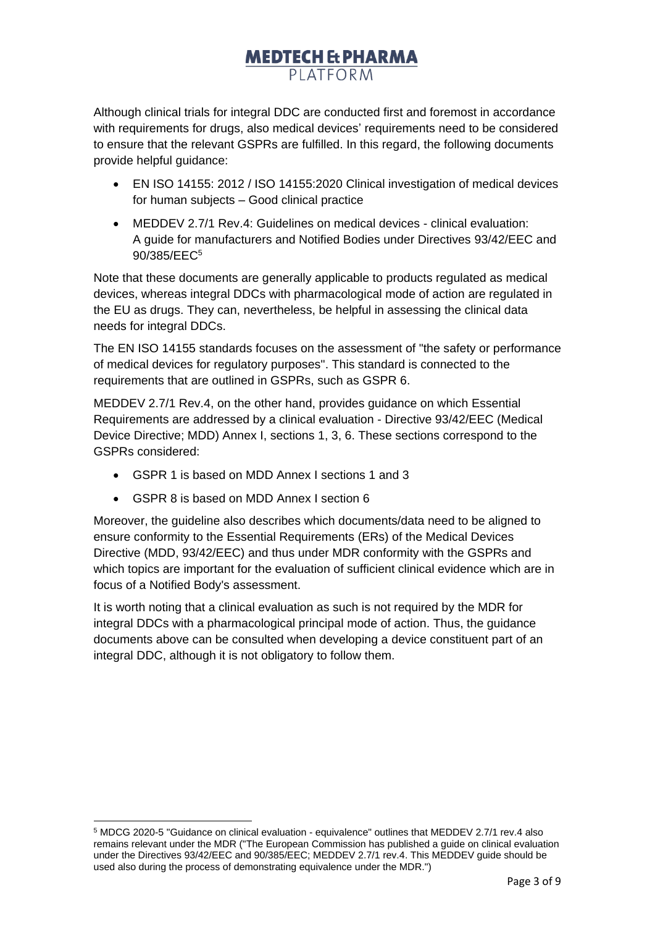Although clinical trials for integral DDC are conducted first and foremost in accordance with requirements for drugs, also medical devices' requirements need to be considered to ensure that the relevant GSPRs are fulfilled. In this regard, the following documents provide helpful guidance:

- EN ISO 14155: 2012 / ISO 14155:2020 Clinical investigation of medical devices for human subjects – Good clinical practice
- MEDDEV 2.7/1 Rev.4: Guidelines on medical devices clinical evaluation: A guide for manufacturers and Notified Bodies under Directives 93/42/EEC and 90/385/EEC<sup>5</sup>

Note that these documents are generally applicable to products regulated as medical devices, whereas integral DDCs with pharmacological mode of action are regulated in the EU as drugs. They can, nevertheless, be helpful in assessing the clinical data needs for integral DDCs.

The EN ISO 14155 standards focuses on the assessment of "the safety or performance of medical devices for regulatory purposes". This standard is connected to the requirements that are outlined in GSPRs, such as GSPR 6.

MEDDEV 2.7/1 Rev.4, on the other hand, provides guidance on which Essential Requirements are addressed by a clinical evaluation - Directive 93/42/EEC (Medical Device Directive; MDD) Annex I, sections 1, 3, 6. These sections correspond to the GSPRs considered:

- GSPR 1 is based on MDD Annex I sections 1 and 3
- GSPR 8 is based on MDD Annex I section 6

Moreover, the guideline also describes which documents/data need to be aligned to ensure conformity to the Essential Requirements (ERs) of the Medical Devices Directive (MDD, 93/42/EEC) and thus under MDR conformity with the GSPRs and which topics are important for the evaluation of sufficient clinical evidence which are in focus of a Notified Body's assessment.

It is worth noting that a clinical evaluation as such is not required by the MDR for integral DDCs with a pharmacological principal mode of action. Thus, the guidance documents above can be consulted when developing a device constituent part of an integral DDC, although it is not obligatory to follow them.

<sup>5</sup> MDCG 2020-5 "Guidance on clinical evaluation - equivalence" outlines that MEDDEV 2.7/1 rev.4 also remains relevant under the MDR ("The European Commission has published a guide on clinical evaluation under the Directives 93/42/EEC and 90/385/EEC; MEDDEV 2.7/1 rev.4. This MEDDEV guide should be used also during the process of demonstrating equivalence under the MDR.")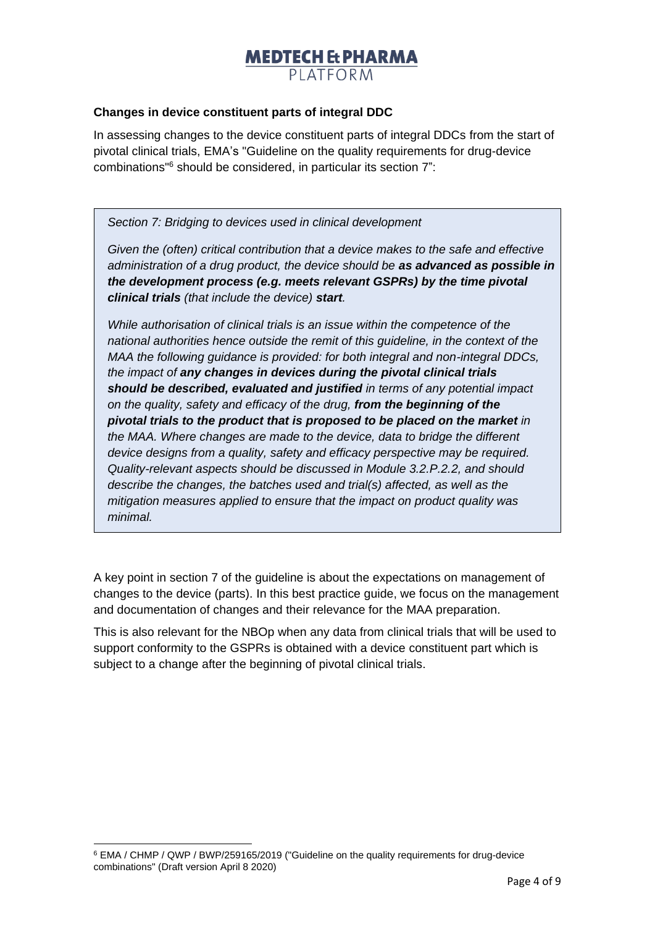### **Changes in device constituent parts of integral DDC**

In assessing changes to the device constituent parts of integral DDCs from the start of pivotal clinical trials, EMA's "Guideline on the quality requirements for drug-device combinations"<sup>6</sup> should be considered, in particular its section 7":

*Section 7: Bridging to devices used in clinical development*

*Given the (often) critical contribution that a device makes to the safe and effective administration of a drug product, the device should be as advanced as possible in the development process (e.g. meets relevant GSPRs) by the time pivotal clinical trials (that include the device) start.*

*While authorisation of clinical trials is an issue within the competence of the national authorities hence outside the remit of this guideline, in the context of the MAA the following guidance is provided: for both integral and non-integral DDCs, the impact of any changes in devices during the pivotal clinical trials should be described, evaluated and justified in terms of any potential impact on the quality, safety and efficacy of the drug, from the beginning of the pivotal trials to the product that is proposed to be placed on the market in the MAA. Where changes are made to the device, data to bridge the different device designs from a quality, safety and efficacy perspective may be required. Quality-relevant aspects should be discussed in Module 3.2.P.2.2, and should describe the changes, the batches used and trial(s) affected, as well as the mitigation measures applied to ensure that the impact on product quality was minimal.*

A key point in section 7 of the guideline is about the expectations on management of changes to the device (parts). In this best practice guide, we focus on the management and documentation of changes and their relevance for the MAA preparation.

This is also relevant for the NBOp when any data from clinical trials that will be used to support conformity to the GSPRs is obtained with a device constituent part which is subject to a change after the beginning of pivotal clinical trials.

<sup>6</sup> EMA / CHMP / QWP / BWP/259165/2019 ("Guideline on the quality requirements for drug-device combinations" (Draft version April 8 2020)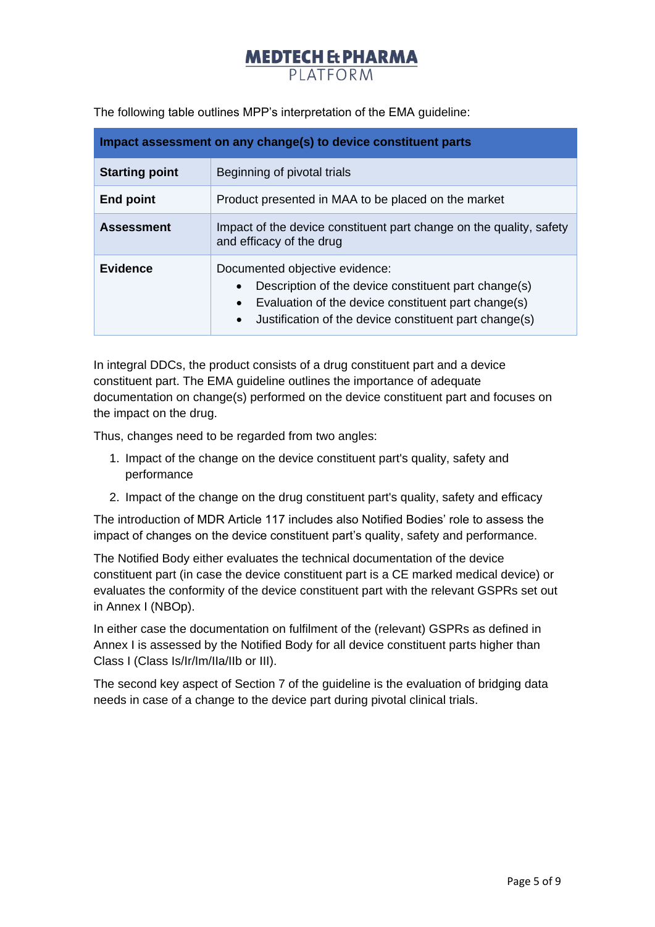| Impact assessment on any change(s) to device constituent parts |                                                                                                                                                                                                                                                |
|----------------------------------------------------------------|------------------------------------------------------------------------------------------------------------------------------------------------------------------------------------------------------------------------------------------------|
| <b>Starting point</b>                                          | Beginning of pivotal trials                                                                                                                                                                                                                    |
| <b>End point</b>                                               | Product presented in MAA to be placed on the market                                                                                                                                                                                            |
| <b>Assessment</b>                                              | Impact of the device constituent part change on the quality, safety<br>and efficacy of the drug                                                                                                                                                |
| <b>Evidence</b>                                                | Documented objective evidence:<br>Description of the device constituent part change(s)<br>$\bullet$<br>Evaluation of the device constituent part change(s)<br>$\bullet$<br>Justification of the device constituent part change(s)<br>$\bullet$ |

The following table outlines MPP's interpretation of the EMA guideline:

In integral DDCs, the product consists of a drug constituent part and a device constituent part. The EMA guideline outlines the importance of adequate documentation on change(s) performed on the device constituent part and focuses on the impact on the drug.

Thus, changes need to be regarded from two angles:

- 1. Impact of the change on the device constituent part's quality, safety and performance
- 2. Impact of the change on the drug constituent part's quality, safety and efficacy

The introduction of MDR Article 117 includes also Notified Bodies' role to assess the impact of changes on the device constituent part's quality, safety and performance.

The Notified Body either evaluates the technical documentation of the device constituent part (in case the device constituent part is a CE marked medical device) or evaluates the conformity of the device constituent part with the relevant GSPRs set out in Annex I (NBOp).

In either case the documentation on fulfilment of the (relevant) GSPRs as defined in Annex I is assessed by the Notified Body for all device constituent parts higher than Class I (Class Is/Ir/Im/IIa/IIb or III).

The second key aspect of Section 7 of the guideline is the evaluation of bridging data needs in case of a change to the device part during pivotal clinical trials.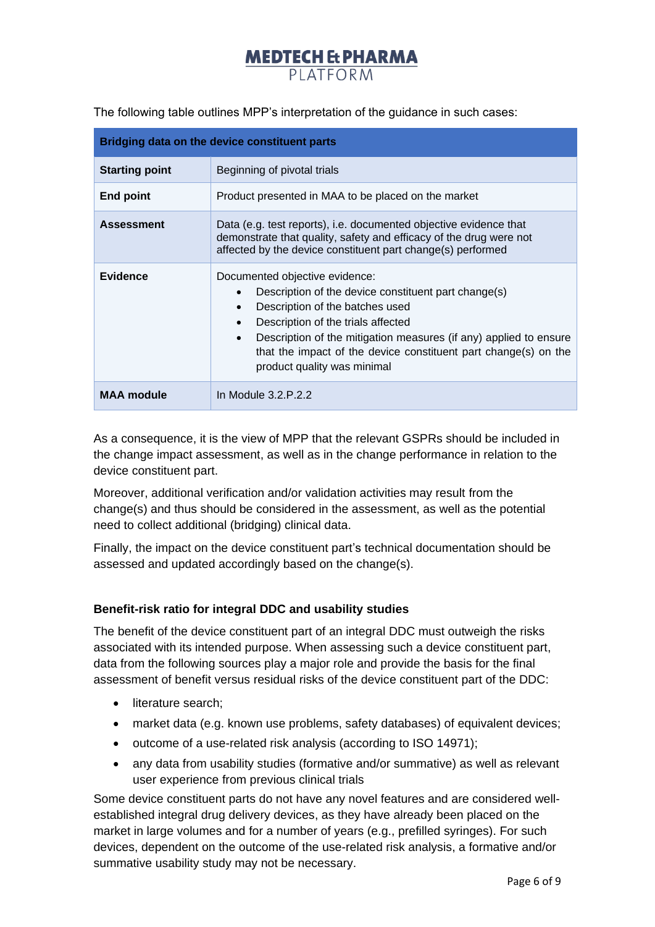| Bridging data on the device constituent parts |                                                                                                                                                                                                                                                                                                                                                                               |
|-----------------------------------------------|-------------------------------------------------------------------------------------------------------------------------------------------------------------------------------------------------------------------------------------------------------------------------------------------------------------------------------------------------------------------------------|
| <b>Starting point</b>                         | Beginning of pivotal trials                                                                                                                                                                                                                                                                                                                                                   |
| <b>End point</b>                              | Product presented in MAA to be placed on the market                                                                                                                                                                                                                                                                                                                           |
| <b>Assessment</b>                             | Data (e.g. test reports), i.e. documented objective evidence that<br>demonstrate that quality, safety and efficacy of the drug were not<br>affected by the device constituent part change(s) performed                                                                                                                                                                        |
| <b>Evidence</b>                               | Documented objective evidence:<br>Description of the device constituent part change(s)<br>$\bullet$<br>Description of the batches used<br>$\bullet$<br>Description of the trials affected<br>Description of the mitigation measures (if any) applied to ensure<br>$\bullet$<br>that the impact of the device constituent part change(s) on the<br>product quality was minimal |
| <b>MAA module</b>                             | In Module 3.2.P.2.2                                                                                                                                                                                                                                                                                                                                                           |

The following table outlines MPP's interpretation of the guidance in such cases:

As a consequence, it is the view of MPP that the relevant GSPRs should be included in the change impact assessment, as well as in the change performance in relation to the device constituent part.

Moreover, additional verification and/or validation activities may result from the change(s) and thus should be considered in the assessment, as well as the potential need to collect additional (bridging) clinical data.

Finally, the impact on the device constituent part's technical documentation should be assessed and updated accordingly based on the change(s).

### **Benefit-risk ratio for integral DDC and usability studies**

The benefit of the device constituent part of an integral DDC must outweigh the risks associated with its intended purpose. When assessing such a device constituent part, data from the following sources play a major role and provide the basis for the final assessment of benefit versus residual risks of the device constituent part of the DDC:

- literature search:
- market data (e.g. known use problems, safety databases) of equivalent devices;
- outcome of a use-related risk analysis (according to ISO 14971);
- any data from usability studies (formative and/or summative) as well as relevant user experience from previous clinical trials

Some device constituent parts do not have any novel features and are considered wellestablished integral drug delivery devices, as they have already been placed on the market in large volumes and for a number of years (e.g., prefilled syringes). For such devices, dependent on the outcome of the use-related risk analysis, a formative and/or summative usability study may not be necessary.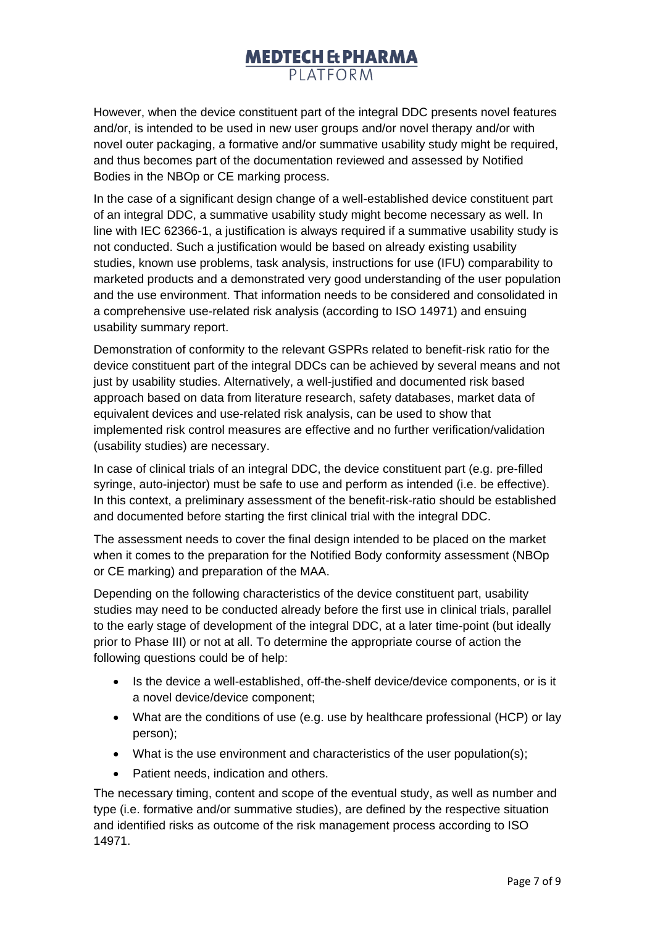However, when the device constituent part of the integral DDC presents novel features and/or, is intended to be used in new user groups and/or novel therapy and/or with novel outer packaging, a formative and/or summative usability study might be required, and thus becomes part of the documentation reviewed and assessed by Notified Bodies in the NBOp or CE marking process.

In the case of a significant design change of a well-established device constituent part of an integral DDC, a summative usability study might become necessary as well. In line with IEC 62366-1, a justification is always required if a summative usability study is not conducted. Such a justification would be based on already existing usability studies, known use problems, task analysis, instructions for use (IFU) comparability to marketed products and a demonstrated very good understanding of the user population and the use environment. That information needs to be considered and consolidated in a comprehensive use-related risk analysis (according to ISO 14971) and ensuing usability summary report.

Demonstration of conformity to the relevant GSPRs related to benefit-risk ratio for the device constituent part of the integral DDCs can be achieved by several means and not just by usability studies. Alternatively, a well-justified and documented risk based approach based on data from literature research, safety databases, market data of equivalent devices and use-related risk analysis, can be used to show that implemented risk control measures are effective and no further verification/validation (usability studies) are necessary.

In case of clinical trials of an integral DDC, the device constituent part (e.g. pre-filled syringe, auto-injector) must be safe to use and perform as intended (i.e. be effective). In this context, a preliminary assessment of the benefit-risk-ratio should be established and documented before starting the first clinical trial with the integral DDC.

The assessment needs to cover the final design intended to be placed on the market when it comes to the preparation for the Notified Body conformity assessment (NBOp or CE marking) and preparation of the MAA.

Depending on the following characteristics of the device constituent part, usability studies may need to be conducted already before the first use in clinical trials, parallel to the early stage of development of the integral DDC, at a later time-point (but ideally prior to Phase III) or not at all. To determine the appropriate course of action the following questions could be of help:

- Is the device a well-established, off-the-shelf device/device components, or is it a novel device/device component;
- What are the conditions of use (e.g. use by healthcare professional (HCP) or lay person);
- What is the use environment and characteristics of the user population(s);
- Patient needs, indication and others.

The necessary timing, content and scope of the eventual study, as well as number and type (i.e. formative and/or summative studies), are defined by the respective situation and identified risks as outcome of the risk management process according to ISO 14971.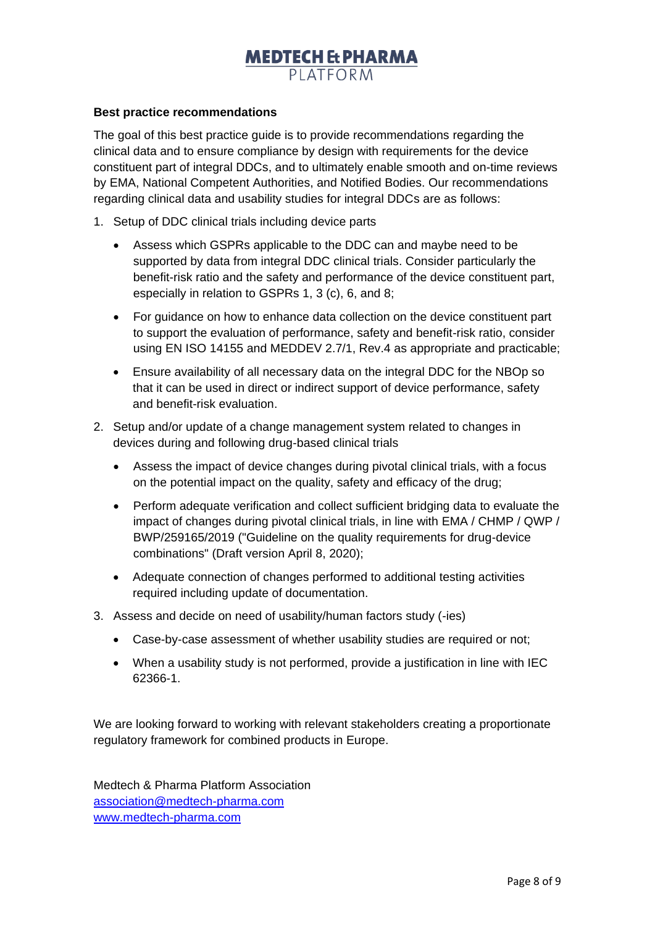#### **Best practice recommendations**

The goal of this best practice guide is to provide recommendations regarding the clinical data and to ensure compliance by design with requirements for the device constituent part of integral DDCs, and to ultimately enable smooth and on-time reviews by EMA, National Competent Authorities, and Notified Bodies. Our recommendations regarding clinical data and usability studies for integral DDCs are as follows:

- 1. Setup of DDC clinical trials including device parts
	- Assess which GSPRs applicable to the DDC can and maybe need to be supported by data from integral DDC clinical trials. Consider particularly the benefit-risk ratio and the safety and performance of the device constituent part, especially in relation to GSPRs 1, 3 (c), 6, and 8;
	- For guidance on how to enhance data collection on the device constituent part to support the evaluation of performance, safety and benefit-risk ratio, consider using EN ISO 14155 and MEDDEV 2.7/1, Rev.4 as appropriate and practicable;
	- Ensure availability of all necessary data on the integral DDC for the NBOp so that it can be used in direct or indirect support of device performance, safety and benefit-risk evaluation.
- 2. Setup and/or update of a change management system related to changes in devices during and following drug-based clinical trials
	- Assess the impact of device changes during pivotal clinical trials, with a focus on the potential impact on the quality, safety and efficacy of the drug;
	- Perform adequate verification and collect sufficient bridging data to evaluate the impact of changes during pivotal clinical trials, in line with EMA / CHMP / QWP / BWP/259165/2019 ("Guideline on the quality requirements for drug-device combinations" (Draft version April 8, 2020);
	- Adequate connection of changes performed to additional testing activities required including update of documentation.
- 3. Assess and decide on need of usability/human factors study (-ies)
	- Case-by-case assessment of whether usability studies are required or not;
	- When a usability study is not performed, provide a justification in line with IEC 62366-1.

We are looking forward to working with relevant stakeholders creating a proportionate regulatory framework for combined products in Europe.

Medtech & Pharma Platform Association [association@medtech-pharma.com](mailto:association@medtech-pharma.com) [www.medtech-pharma.com](http://www.medtech-pharma.com/)